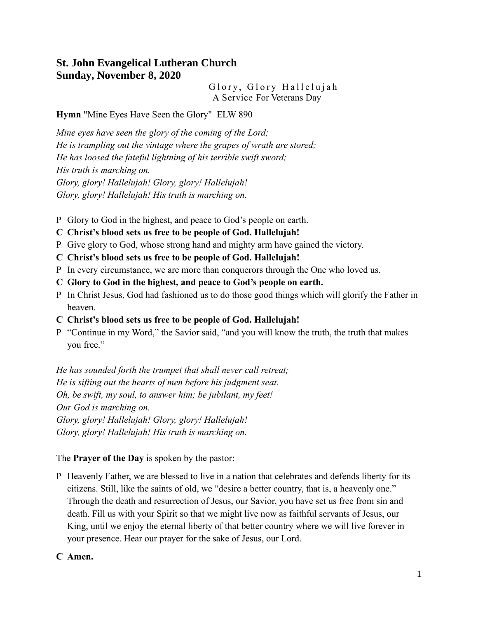# **St. John Evangelical Lutheran Church Sunday, November 8, 2020**

Glory, Glory Hallelujah A Service For Veterans Day

**Hymn** "Mine Eyes Have Seen the Glory" ELW 890

*Mine eyes have seen the glory of the coming of the Lord; He is trampling out the vintage where the grapes of wrath are stored; He has loosed the fateful lightning of his terrible swift sword; His truth is marching on. Glory, glory! Hallelujah! Glory, glory! Hallelujah! Glory, glory! Hallelujah! His truth is marching on.*

P Glory to God in the highest, and peace to God's people on earth.

## **C Christ's blood sets us free to be people of God. Hallelujah!**

- P Give glory to God, whose strong hand and mighty arm have gained the victory.
- **C Christ's blood sets us free to be people of God. Hallelujah!**
- P In every circumstance, we are more than conquerors through the One who loved us.
- **C Glory to God in the highest, and peace to God's people on earth.**
- P In Christ Jesus, God had fashioned us to do those good things which will glorify the Father in heaven.
- **C Christ's blood sets us free to be people of God. Hallelujah!**
- P "Continue in my Word," the Savior said, "and you will know the truth, the truth that makes you free."

*He has sounded forth the trumpet that shall never call retreat; He is sifting out the hearts of men before his judgment seat. Oh, be swift, my soul, to answer him; be jubilant, my feet! Our God is marching on. Glory, glory! Hallelujah! Glory, glory! Hallelujah! Glory, glory! Hallelujah! His truth is marching on.*

#### The **Prayer of the Day** is spoken by the pastor:

P Heavenly Father, we are blessed to live in a nation that celebrates and defends liberty for its citizens. Still, like the saints of old, we "desire a better country, that is, a heavenly one." Through the death and resurrection of Jesus, our Savior, you have set us free from sin and death. Fill us with your Spirit so that we might live now as faithful servants of Jesus, our King, until we enjoy the eternal liberty of that better country where we will live forever in your presence. Hear our prayer for the sake of Jesus, our Lord.

#### **C Amen.**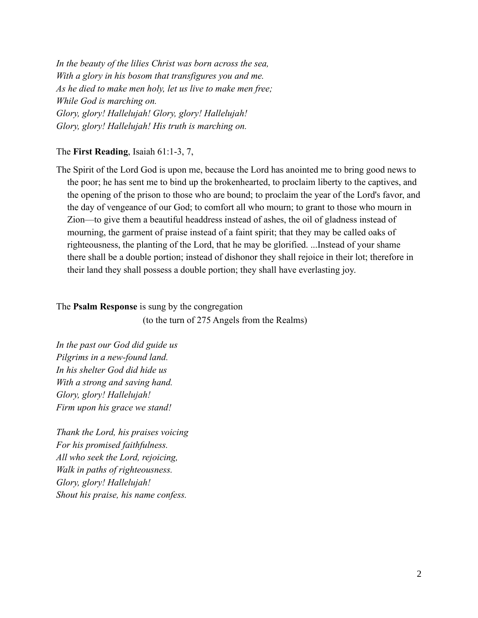*In the beauty of the lilies Christ was born across the sea, With a glory in his bosom that transfigures you and me. As he died to make men holy, let us live to make men free; While God is marching on. Glory, glory! Hallelujah! Glory, glory! Hallelujah! Glory, glory! Hallelujah! His truth is marching on.*

#### The **First Reading**, Isaiah 61:1-3, 7,

The Spirit of the Lord God is upon me, because the Lord has anointed me to bring good news to the poor; he has sent me to bind up the brokenhearted, to proclaim liberty to the captives, and the opening of the prison to those who are bound; to proclaim the year of the Lord's favor, and the day of vengeance of our God; to comfort all who mourn; to grant to those who mourn in Zion—to give them a beautiful headdress instead of ashes, the oil of gladness instead of mourning, the garment of praise instead of a faint spirit; that they may be called oaks of righteousness, the planting of the Lord, that he may be glorified. ...Instead of your shame there shall be a double portion; instead of dishonor they shall rejoice in their lot; therefore in their land they shall possess a double portion; they shall have everlasting joy.

#### The **Psalm Response** is sung by the congregation

(to the turn of 275 Angels from the Realms)

*In the past our God did guide us Pilgrims in a new-found land. In his shelter God did hide us With a strong and saving hand. Glory, glory! Hallelujah! Firm upon his grace we stand!*

*Thank the Lord, his praises voicing For his promised faithfulness. All who seek the Lord, rejoicing, Walk in paths of righteousness. Glory, glory! Hallelujah! Shout his praise, his name confess.*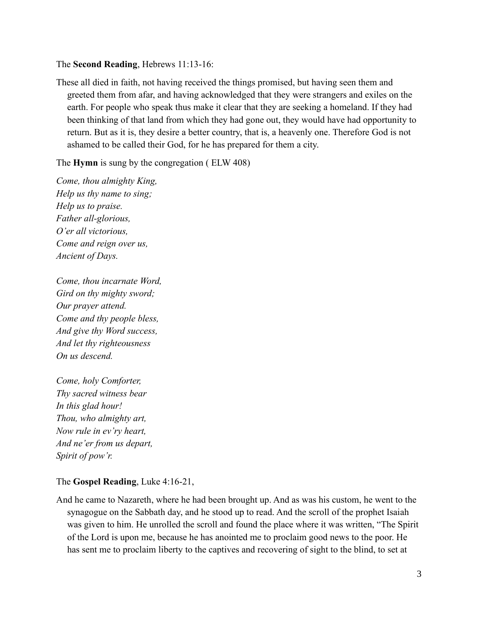#### The **Second Reading**, Hebrews 11:13-16:

These all died in faith, not having received the things promised, but having seen them and greeted them from afar, and having acknowledged that they were strangers and exiles on the earth. For people who speak thus make it clear that they are seeking a homeland. If they had been thinking of that land from which they had gone out, they would have had opportunity to return. But as it is, they desire a better country, that is, a heavenly one. Therefore God is not ashamed to be called their God, for he has prepared for them a city.

The **Hymn** is sung by the congregation ( ELW 408)

*Come, thou almighty King, Help us thy name to sing; Help us to praise. Father all-glorious, O'er all victorious, Come and reign over us, Ancient of Days.*

*Come, thou incarnate Word, Gird on thy mighty sword; Our prayer attend. Come and thy people bless, And give thy Word success, And let thy righteousness On us descend.*

*Come, holy Comforter, Thy sacred witness bear In this glad hour! Thou, who almighty art, Now rule in ev'ry heart, And ne'er from us depart, Spirit of pow'r.*

## The **Gospel Reading**, Luke 4:16-21,

And he came to Nazareth, where he had been brought up. And as was his custom, he went to the synagogue on the Sabbath day, and he stood up to read. And the scroll of the prophet Isaiah was given to him. He unrolled the scroll and found the place where it was written, "The Spirit of the Lord is upon me, because he has anointed me to proclaim good news to the poor. He has sent me to proclaim liberty to the captives and recovering of sight to the blind, to set at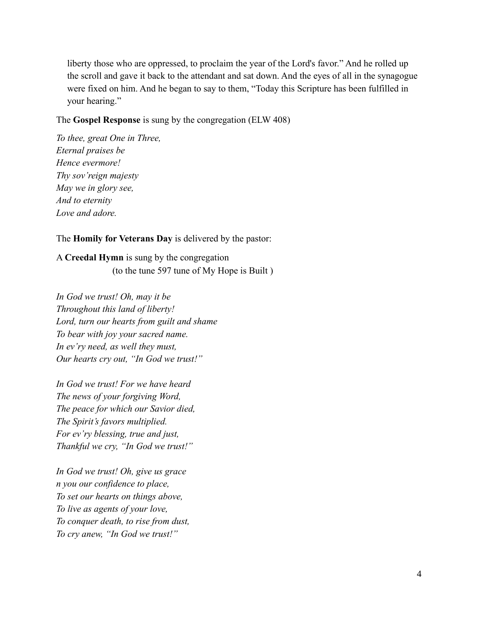liberty those who are oppressed, to proclaim the year of the Lord's favor." And he rolled up the scroll and gave it back to the attendant and sat down. And the eyes of all in the synagogue were fixed on him. And he began to say to them, "Today this Scripture has been fulfilled in your hearing."

#### The **Gospel Response** is sung by the congregation (ELW 408)

*To thee, great One in Three, Eternal praises be Hence evermore! Thy sov'reign majesty May we in glory see, And to eternity Love and adore.*

The **Homily for Veterans Day** is delivered by the pastor:

A **Creedal Hymn** is sung by the congregation (to the tune 597 tune of My Hope is Built )

*In God we trust! Oh, may it be Throughout this land of liberty! Lord, turn our hearts from guilt and shame To bear with joy your sacred name. In ev'ry need, as well they must, Our hearts cry out, "In God we trust!"*

*In God we trust! For we have heard The news of your forgiving Word, The peace for which our Savior died, The Spirit's favors multiplied. For ev'ry blessing, true and just, Thankful we cry, "In God we trust!"*

*In God we trust! Oh, give us grace n you our confidence to place, To set our hearts on things above, To live as agents of your love, To conquer death, to rise from dust, To cry anew, "In God we trust!"*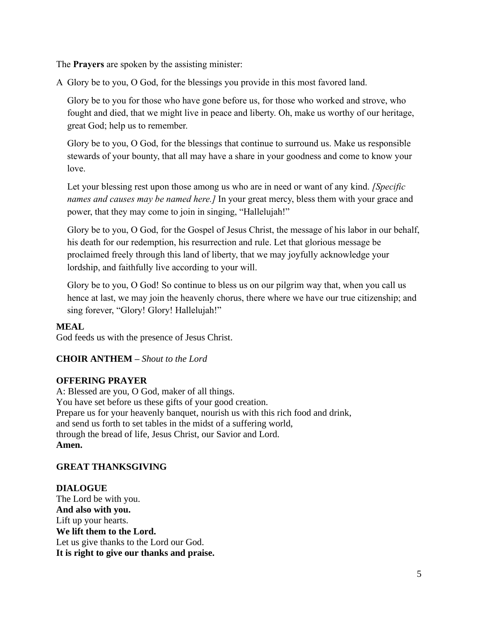The **Prayers** are spoken by the assisting minister:

A Glory be to you, O God, for the blessings you provide in this most favored land.

Glory be to you for those who have gone before us, for those who worked and strove, who fought and died, that we might live in peace and liberty. Oh, make us worthy of our heritage, great God; help us to remember.

Glory be to you, O God, for the blessings that continue to surround us. Make us responsible stewards of your bounty, that all may have a share in your goodness and come to know your love.

Let your blessing rest upon those among us who are in need or want of any kind. *[Specific names and causes may be named here.]* In your great mercy, bless them with your grace and power, that they may come to join in singing, "Hallelujah!"

Glory be to you, O God, for the Gospel of Jesus Christ, the message of his labor in our behalf, his death for our redemption, his resurrection and rule. Let that glorious message be proclaimed freely through this land of liberty, that we may joyfully acknowledge your lordship, and faithfully live according to your will.

Glory be to you, O God! So continue to bless us on our pilgrim way that, when you call us hence at last, we may join the heavenly chorus, there where we have our true citizenship; and sing forever, "Glory! Glory! Hallelujah!"

# **MEAL**

God feeds us with the presence of Jesus Christ.

# **CHOIR ANTHEM –** *Shout to the Lord*

## **OFFERING PRAYER**

A: Blessed are you, O God, maker of all things. You have set before us these gifts of your good creation. Prepare us for your heavenly banquet, nourish us with this rich food and drink, and send us forth to set tables in the midst of a suffering world, through the bread of life, Jesus Christ, our Savior and Lord. **Amen.**

# **GREAT THANKSGIVING**

## **DIALOGUE** The Lord be with you. **And also with you.** Lift up your hearts. **We lift them to the Lord.** Let us give thanks to the Lord our God. **It is right to give our thanks and praise.**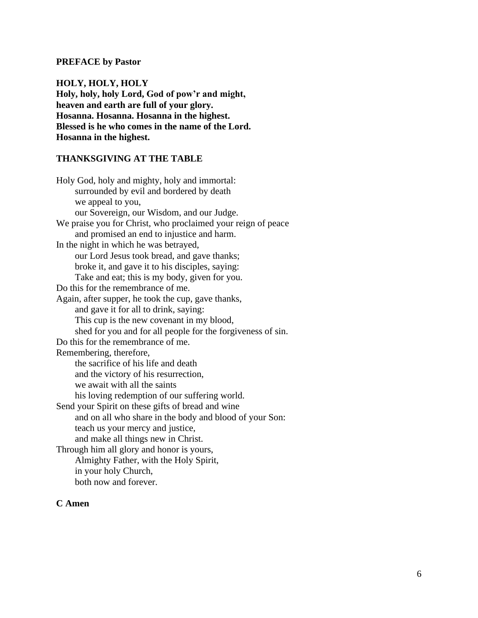#### **PREFACE by Pastor**

**HOLY, HOLY, HOLY Holy, holy, holy Lord, God of pow'r and might, heaven and earth are full of your glory. Hosanna. Hosanna. Hosanna in the highest. Blessed is he who comes in the name of the Lord. Hosanna in the highest.**

## **THANKSGIVING AT THE TABLE**

Holy God, holy and mighty, holy and immortal: surrounded by evil and bordered by death we appeal to you, our Sovereign, our Wisdom, and our Judge. We praise you for Christ, who proclaimed your reign of peace and promised an end to injustice and harm. In the night in which he was betrayed, our Lord Jesus took bread, and gave thanks; broke it, and gave it to his disciples, saying: Take and eat; this is my body, given for you. Do this for the remembrance of me. Again, after supper, he took the cup, gave thanks, and gave it for all to drink, saying: This cup is the new covenant in my blood, shed for you and for all people for the forgiveness of sin. Do this for the remembrance of me. Remembering, therefore, the sacrifice of his life and death and the victory of his resurrection, we await with all the saints his loving redemption of our suffering world. Send your Spirit on these gifts of bread and wine and on all who share in the body and blood of your Son: teach us your mercy and justice, and make all things new in Christ. Through him all glory and honor is yours, Almighty Father, with the Holy Spirit, in your holy Church, both now and forever.

## **C Amen**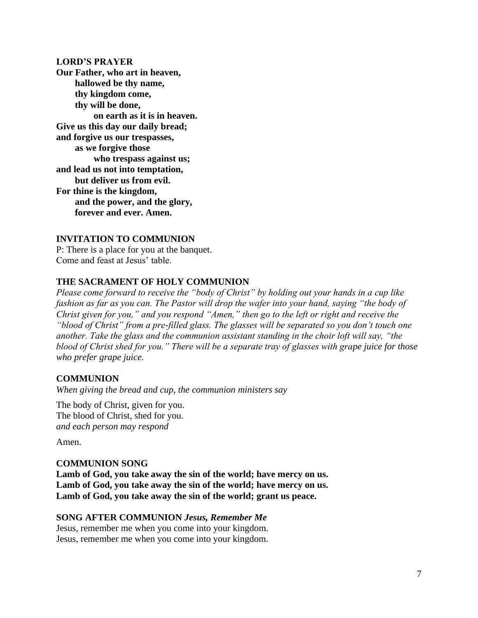#### **LORD'S PRAYER**

**Our Father, who art in heaven, hallowed be thy name, thy kingdom come, thy will be done, on earth as it is in heaven. Give us this day our daily bread; and forgive us our trespasses, as we forgive those who trespass against us; and lead us not into temptation, but deliver us from evil. For thine is the kingdom, and the power, and the glory, forever and ever. Amen.**

## **INVITATION TO COMMUNION**

P: There is a place for you at the banquet. Come and feast at Jesus' table.

## **THE SACRAMENT OF HOLY COMMUNION**

*Please come forward to receive the "body of Christ" by holding out your hands in a cup like fashion as far as you can. The Pastor will drop the wafer into your hand, saying "the body of Christ given for you," and you respond "Amen," then go to the left or right and receive the "blood of Christ" from a pre-filled glass. The glasses will be separated so you don't touch one another. Take the glass and the communion assistant standing in the choir loft will say, "the blood of Christ shed for you." There will be a separate tray of glasses with grape juice for those who prefer grape juice.* 

## **COMMUNION**

*When giving the bread and cup, the communion ministers say*

The body of Christ, given for you. The blood of Christ, shed for you. *and each person may respond*

Amen.

## **COMMUNION SONG**

**Lamb of God, you take away the sin of the world; have mercy on us. Lamb of God, you take away the sin of the world; have mercy on us. Lamb of God, you take away the sin of the world; grant us peace.**

## **SONG AFTER COMMUNION** *Jesus, Remember Me*

Jesus, remember me when you come into your kingdom. Jesus, remember me when you come into your kingdom.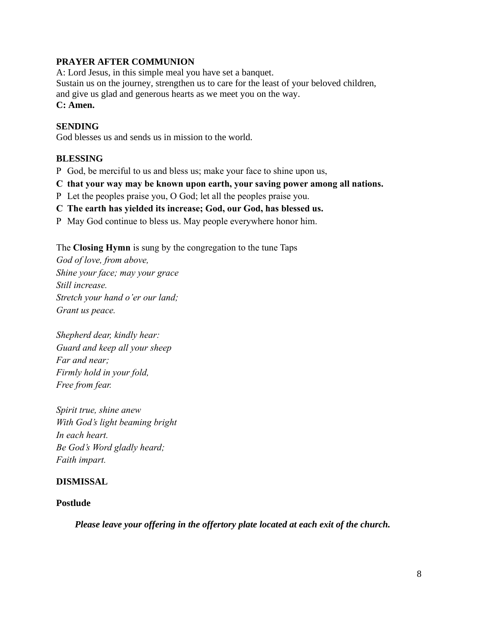# **PRAYER AFTER COMMUNION**

A: Lord Jesus, in this simple meal you have set a banquet. Sustain us on the journey, strengthen us to care for the least of your beloved children, and give us glad and generous hearts as we meet you on the way. **C: Amen.**

# **SENDING**

God blesses us and sends us in mission to the world.

# **BLESSING**

P God, be merciful to us and bless us; make your face to shine upon us,

- **C that your way may be known upon earth, your saving power among all nations.**
- P Let the peoples praise you, O God; let all the peoples praise you.
- **C The earth has yielded its increase; God, our God, has blessed us.**
- P May God continue to bless us. May people everywhere honor him.

The **Closing Hymn** is sung by the congregation to the tune Taps

*God of love, from above, Shine your face; may your grace Still increase. Stretch your hand o'er our land; Grant us peace.*

*Shepherd dear, kindly hear: Guard and keep all your sheep Far and near; Firmly hold in your fold, Free from fear.*

*Spirit true, shine anew With God's light beaming bright In each heart. Be God's Word gladly heard; Faith impart.*

# **DISMISSAL**

# **Postlude**

*Please leave your offering in the offertory plate located at each exit of the church.*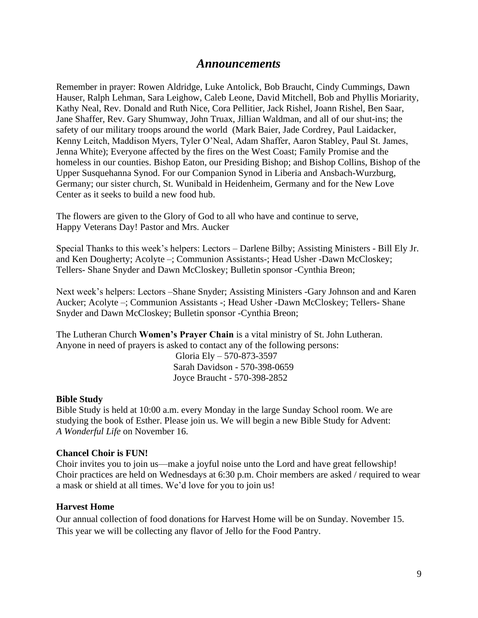# *Announcements*

Remember in prayer: Rowen Aldridge, Luke Antolick, Bob Braucht, Cindy Cummings, Dawn Hauser, Ralph Lehman, Sara Leighow, Caleb Leone, David Mitchell, Bob and Phyllis Moriarity, Kathy Neal, Rev. Donald and Ruth Nice, Cora Pellitier, Jack Rishel, Joann Rishel, Ben Saar, Jane Shaffer, Rev. Gary Shumway, John Truax, Jillian Waldman, and all of our shut-ins; the safety of our military troops around the world (Mark Baier, Jade Cordrey, Paul Laidacker, Kenny Leitch, Maddison Myers, Tyler O'Neal, Adam Shaffer, Aaron Stabley, Paul St. James, Jenna White); Everyone affected by the fires on the West Coast; Family Promise and the homeless in our counties. Bishop Eaton, our Presiding Bishop; and Bishop Collins, Bishop of the Upper Susquehanna Synod. For our Companion Synod in Liberia and Ansbach-Wurzburg, Germany; our sister church, St. Wunibald in Heidenheim, Germany and for the New Love Center as it seeks to build a new food hub.

The flowers are given to the Glory of God to all who have and continue to serve, Happy Veterans Day! Pastor and Mrs. Aucker

Special Thanks to this week's helpers: Lectors – Darlene Bilby; Assisting Ministers - Bill Ely Jr. and Ken Dougherty; Acolyte –; Communion Assistants-; Head Usher -Dawn McCloskey; Tellers- Shane Snyder and Dawn McCloskey; Bulletin sponsor -Cynthia Breon;

Next week's helpers: Lectors –Shane Snyder; Assisting Ministers -Gary Johnson and and Karen Aucker; Acolyte –; Communion Assistants -; Head Usher -Dawn McCloskey; Tellers- Shane Snyder and Dawn McCloskey; Bulletin sponsor -Cynthia Breon;

The Lutheran Church **Women's Prayer Chain** is a vital ministry of St. John Lutheran. Anyone in need of prayers is asked to contact any of the following persons:

 Gloria Ely – 570-873-3597 Sarah Davidson - 570-398-0659 Joyce Braucht - 570-398-2852

#### **Bible Study**

Bible Study is held at 10:00 a.m. every Monday in the large Sunday School room. We are studying the book of Esther. Please join us. We will begin a new Bible Study for Advent: *A Wonderful Life* on November 16.

#### **Chancel Choir is FUN!**

Choir invites you to join us—make a joyful noise unto the Lord and have great fellowship! Choir practices are held on Wednesdays at 6:30 p.m. Choir members are asked / required to wear a mask or shield at all times. We'd love for you to join us!

#### **Harvest Home**

Our annual collection of food donations for Harvest Home will be on Sunday. November 15. This year we will be collecting any flavor of Jello for the Food Pantry.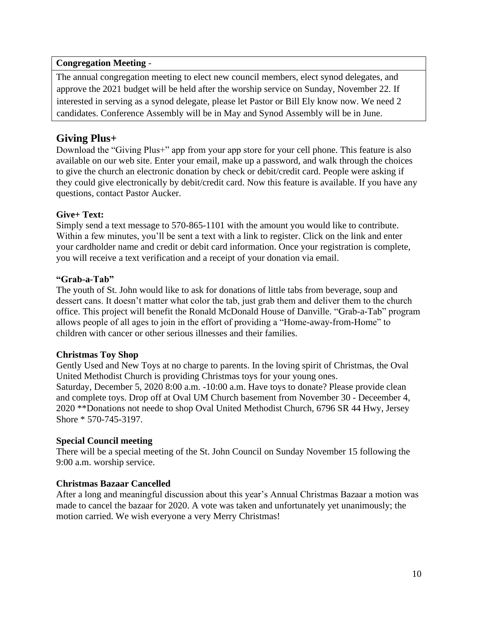## **Congregation Meeting** -

The annual congregation meeting to elect new council members, elect synod delegates, and approve the 2021 budget will be held after the worship service on Sunday, November 22. If interested in serving as a synod delegate, please let Pastor or Bill Ely know now. We need 2 candidates. Conference Assembly will be in May and Synod Assembly will be in June.

# **Giving Plus+**

Download the "Giving Plus+" app from your app store for your cell phone. This feature is also available on our web site. Enter your email, make up a password, and walk through the choices to give the church an electronic donation by check or debit/credit card. People were asking if they could give electronically by debit/credit card. Now this feature is available. If you have any questions, contact Pastor Aucker.

# **Give+ Text:**

Simply send a text message to 570-865-1101 with the amount you would like to contribute. Within a few minutes, you'll be sent a text with a link to register. Click on the link and enter your cardholder name and credit or debit card information. Once your registration is complete, you will receive a text verification and a receipt of your donation via email.

## **"Grab-a-Tab"**

The youth of St. John would like to ask for donations of little tabs from beverage, soup and dessert cans. It doesn't matter what color the tab, just grab them and deliver them to the church office. This project will benefit the Ronald McDonald House of Danville. "Grab-a-Tab" program allows people of all ages to join in the effort of providing a "Home-away-from-Home" to children with cancer or other serious illnesses and their families.

# **Christmas Toy Shop**

Gently Used and New Toys at no charge to parents. In the loving spirit of Christmas, the Oval United Methodist Church is providing Christmas toys for your young ones. Saturday, December 5, 2020 8:00 a.m. -10:00 a.m. Have toys to donate? Please provide clean and complete toys. Drop off at Oval UM Church basement from November 30 - Deceember 4, 2020 \*\*Donations not neede to shop Oval United Methodist Church, 6796 SR 44 Hwy, Jersey Shore \* 570-745-3197.

## **Special Council meeting**

There will be a special meeting of the St. John Council on Sunday November 15 following the 9:00 a.m. worship service.

## **Christmas Bazaar Cancelled**

After a long and meaningful discussion about this year's Annual Christmas Bazaar a motion was made to cancel the bazaar for 2020. A vote was taken and unfortunately yet unanimously; the motion carried. We wish everyone a very Merry Christmas!